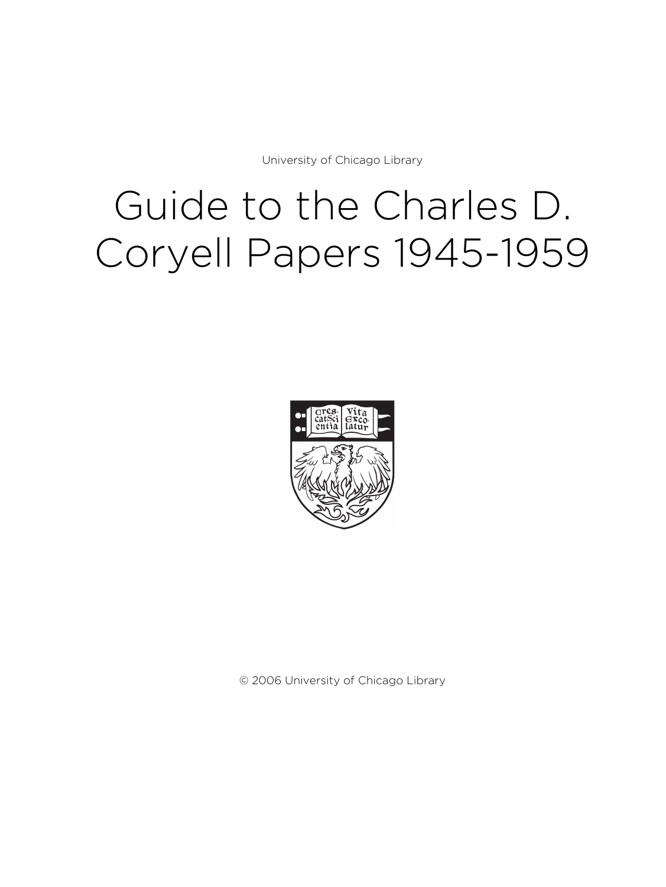University of Chicago Library

# Guide to the Charles D. Coryell Papers 1945-1959



© 2006 University of Chicago Library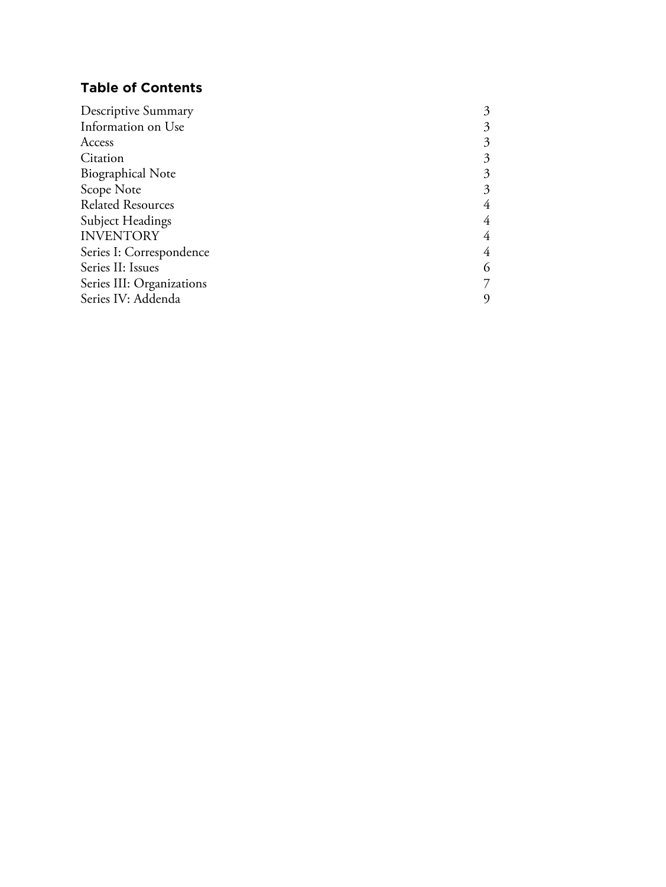# **Table of Contents**

| Descriptive Summary       |   |
|---------------------------|---|
| Information on Use        |   |
| Access                    |   |
| Citation                  | 3 |
| <b>Biographical Note</b>  | 3 |
| Scope Note                |   |
| <b>Related Resources</b>  |   |
| <b>Subject Headings</b>   |   |
| <b>INVENTORY</b>          |   |
| Series I: Correspondence  | 4 |
| Series II: Issues         | 6 |
| Series III: Organizations |   |
| Series IV: Addenda        |   |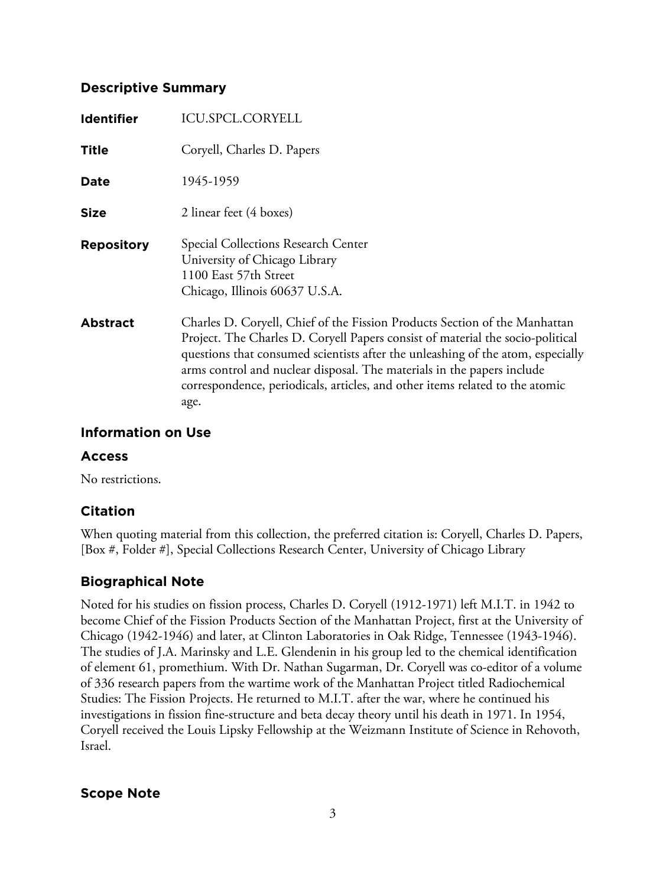# **Descriptive Summary**

| <b>Identifier</b> | ICU.SPCL.CORYELL                                                                                                                                                                                                                                                                                                                                                                                                  |
|-------------------|-------------------------------------------------------------------------------------------------------------------------------------------------------------------------------------------------------------------------------------------------------------------------------------------------------------------------------------------------------------------------------------------------------------------|
| <b>Title</b>      | Coryell, Charles D. Papers                                                                                                                                                                                                                                                                                                                                                                                        |
| Date              | 1945-1959                                                                                                                                                                                                                                                                                                                                                                                                         |
| <b>Size</b>       | 2 linear feet (4 boxes)                                                                                                                                                                                                                                                                                                                                                                                           |
| <b>Repository</b> | Special Collections Research Center<br>University of Chicago Library<br>1100 East 57th Street<br>Chicago, Illinois 60637 U.S.A.                                                                                                                                                                                                                                                                                   |
| <b>Abstract</b>   | Charles D. Coryell, Chief of the Fission Products Section of the Manhattan<br>Project. The Charles D. Coryell Papers consist of material the socio-political<br>questions that consumed scientists after the unleashing of the atom, especially<br>arms control and nuclear disposal. The materials in the papers include<br>correspondence, periodicals, articles, and other items related to the atomic<br>age. |

# **Information on Use**

## **Access**

No restrictions.

# **Citation**

When quoting material from this collection, the preferred citation is: Coryell, Charles D. Papers, [Box #, Folder #], Special Collections Research Center, University of Chicago Library

# **Biographical Note**

Noted for his studies on fission process, Charles D. Coryell (1912-1971) left M.I.T. in 1942 to become Chief of the Fission Products Section of the Manhattan Project, first at the University of Chicago (1942-1946) and later, at Clinton Laboratories in Oak Ridge, Tennessee (1943-1946). The studies of J.A. Marinsky and L.E. Glendenin in his group led to the chemical identification of element 61, promethium. With Dr. Nathan Sugarman, Dr. Coryell was co-editor of a volume of 336 research papers from the wartime work of the Manhattan Project titled Radiochemical Studies: The Fission Projects. He returned to M.I.T. after the war, where he continued his investigations in fission fine-structure and beta decay theory until his death in 1971. In 1954, Coryell received the Louis Lipsky Fellowship at the Weizmann Institute of Science in Rehovoth, Israel.

**Scope Note**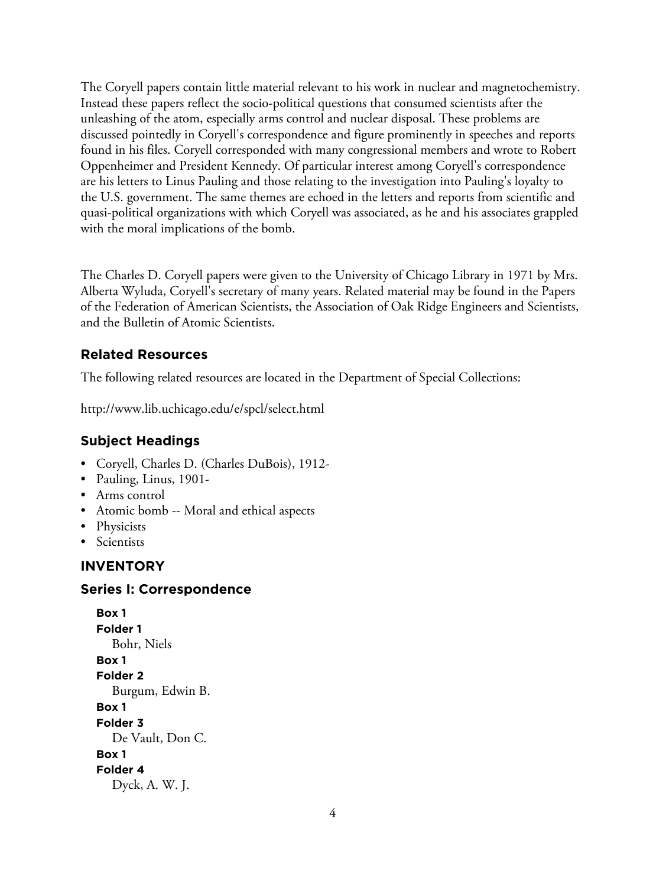The Coryell papers contain little material relevant to his work in nuclear and magnetochemistry. Instead these papers reflect the socio-political questions that consumed scientists after the unleashing of the atom, especially arms control and nuclear disposal. These problems are discussed pointedly in Coryell's correspondence and figure prominently in speeches and reports found in his files. Coryell corresponded with many congressional members and wrote to Robert Oppenheimer and President Kennedy. Of particular interest among Coryell's correspondence are his letters to Linus Pauling and those relating to the investigation into Pauling's loyalty to the U.S. government. The same themes are echoed in the letters and reports from scientific and quasi-political organizations with which Coryell was associated, as he and his associates grappled with the moral implications of the bomb.

The Charles D. Coryell papers were given to the University of Chicago Library in 1971 by Mrs. Alberta Wyluda, Coryell's secretary of many years. Related material may be found in the Papers of the Federation of American Scientists, the Association of Oak Ridge Engineers and Scientists, and the Bulletin of Atomic Scientists.

# **Related Resources**

The following related resources are located in the Department of Special Collections:

http://www.lib.uchicago.edu/e/spcl/select.html

# **Subject Headings**

- Coryell, Charles D. (Charles DuBois), 1912-
- Pauling, Linus, 1901-
- Arms control
- Atomic bomb -- Moral and ethical aspects
- Physicists
- Scientists

# **INVENTORY**

# **Series I: Correspondence**

```
Box 1
Folder 1
  Bohr, Niels
Box 1
Folder 2
  Burgum, Edwin B.
Box 1
Folder 3
  De Vault, Don C.
Box 1
Folder 4
  Dyck, A. W. J.
```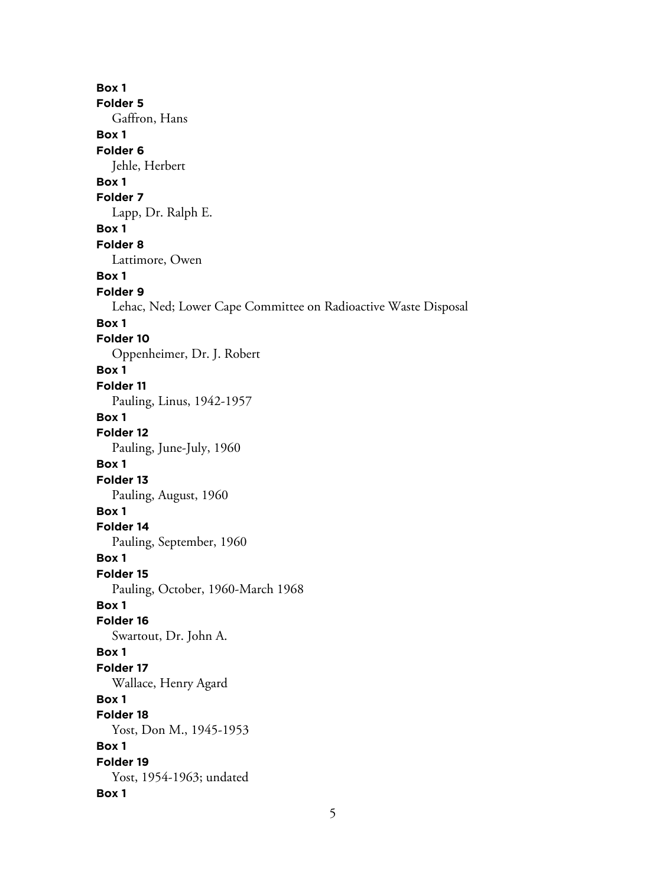**Box 1 Folder 5** Gaffron, Hans **Box 1 Folder 6** Jehle, Herbert **Box 1 Folder 7** Lapp, Dr. Ralph E. **Box 1 Folder 8** Lattimore, Owen **Box 1 Folder 9** Lehac, Ned; Lower Cape Committee on Radioactive Waste Disposal **Box 1 Folder 10** Oppenheimer, Dr. J. Robert **Box 1 Folder 11** Pauling, Linus, 1942-1957 **Box 1 Folder 12** Pauling, June-July, 1960 **Box 1 Folder 13** Pauling, August, 1960 **Box 1 Folder 14** Pauling, September, 1960 **Box 1 Folder 15** Pauling, October, 1960-March 1968 **Box 1 Folder 16** Swartout, Dr. John A. **Box 1 Folder 17** Wallace, Henry Agard **Box 1 Folder 18** Yost, Don M., 1945-1953 **Box 1 Folder 19** Yost, 1954-1963; undated **Box 1**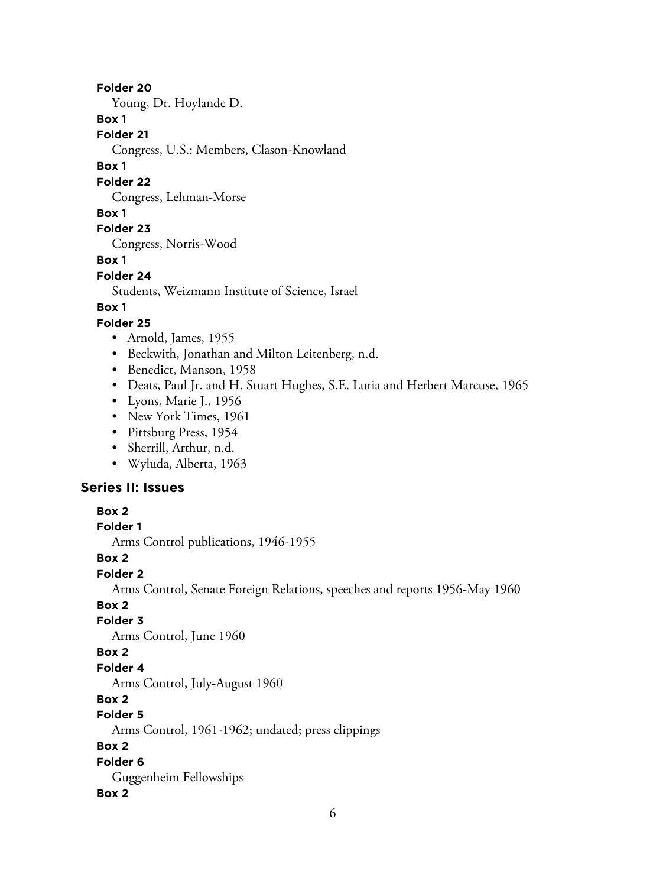#### **Folder 20**

Young, Dr. Hoylande D.

#### **Box 1**

**Folder 21**

Congress, U.S.: Members, Clason-Knowland

#### **Box 1**

#### **Folder 22**

Congress, Lehman-Morse

#### **Box 1**

# **Folder 23**

Congress, Norris-Wood

#### **Box 1**

#### **Folder 24**

Students, Weizmann Institute of Science, Israel

#### **Box 1**

#### **Folder 25**

- Arnold, James, 1955
- Beckwith, Jonathan and Milton Leitenberg, n.d.
- Benedict, Manson, 1958
- Deats, Paul Jr. and H. Stuart Hughes, S.E. Luria and Herbert Marcuse, 1965
- Lyons, Marie J., 1956
- New York Times, 1961
- Pittsburg Press, 1954
- Sherrill, Arthur, n.d.
- Wyluda, Alberta, 1963

#### **Series II: Issues**

#### **Box 2**

#### **Folder 1**

Arms Control publications, 1946-1955

#### **Box 2**

## **Folder 2**

Arms Control, Senate Foreign Relations, speeches and reports 1956-May 1960

# **Box 2**

# **Folder 3**

Arms Control, June 1960

# **Box 2**

#### **Folder 4**

Arms Control, July-August 1960

# **Box 2**

# **Folder 5**

Arms Control, 1961-1962; undated; press clippings

# **Box 2**

# **Folder 6**

# Guggenheim Fellowships

#### **Box 2**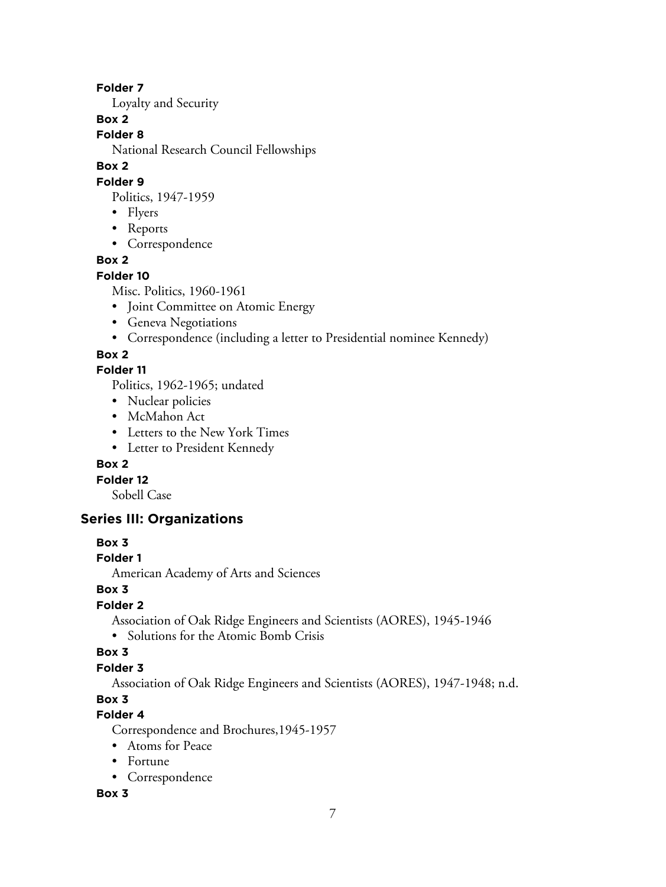## **Folder 7**

Loyalty and Security

# **Box 2**

**Folder 8**

National Research Council Fellowships

# **Box 2**

#### **Folder 9**

Politics, 1947-1959

- Flyers
- Reports
- Correspondence

# **Box 2**

# **Folder 10**

Misc. Politics, 1960-1961

- Joint Committee on Atomic Energy
- Geneva Negotiations
- Correspondence (including a letter to Presidential nominee Kennedy)

# **Box 2**

# **Folder 11**

Politics, 1962-1965; undated

- Nuclear policies
- McMahon Act
- Letters to the New York Times
- Letter to President Kennedy

# **Box 2**

**Folder 12**

Sobell Case

# **Series III: Organizations**

# **Box 3**

# **Folder 1**

American Academy of Arts and Sciences

# **Box 3**

# **Folder 2**

Association of Oak Ridge Engineers and Scientists (AORES), 1945-1946

• Solutions for the Atomic Bomb Crisis

# **Box 3**

# **Folder 3**

Association of Oak Ridge Engineers and Scientists (AORES), 1947-1948; n.d.

# **Box 3**

# **Folder 4**

Correspondence and Brochures,1945-1957

- Atoms for Peace
- Fortune
- Correspondence

# **Box 3**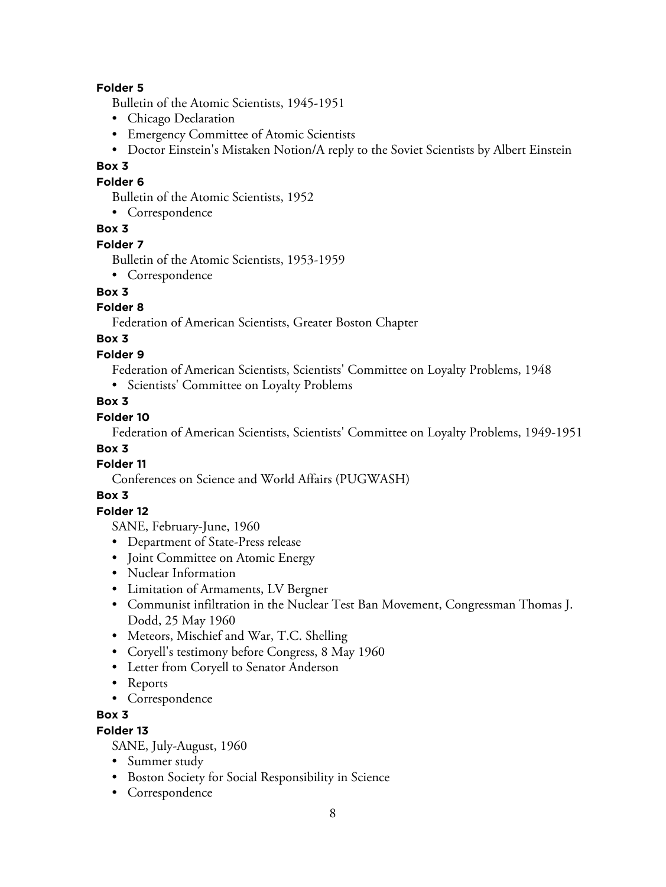## **Folder 5**

Bulletin of the Atomic Scientists, 1945-1951

- Chicago Declaration
- Emergency Committee of Atomic Scientists
- Doctor Einstein's Mistaken Notion/A reply to the Soviet Scientists by Albert Einstein

#### **Box 3**

#### **Folder 6**

Bulletin of the Atomic Scientists, 1952

• Correspondence

## **Box 3**

#### **Folder 7**

Bulletin of the Atomic Scientists, 1953-1959

• Correspondence

# **Box 3**

# **Folder 8**

Federation of American Scientists, Greater Boston Chapter

# **Box 3**

## **Folder 9**

Federation of American Scientists, Scientists' Committee on Loyalty Problems, 1948

• Scientists' Committee on Loyalty Problems

## **Box 3**

# **Folder 10**

Federation of American Scientists, Scientists' Committee on Loyalty Problems, 1949-1951

## **Box 3**

# **Folder 11**

Conferences on Science and World Affairs (PUGWASH)

## **Box 3**

## **Folder 12**

SANE, February-June, 1960

- Department of State-Press release
- Joint Committee on Atomic Energy
- Nuclear Information
- Limitation of Armaments, LV Bergner
- Communist infiltration in the Nuclear Test Ban Movement, Congressman Thomas J. Dodd, 25 May 1960
- Meteors, Mischief and War, T.C. Shelling
- Coryell's testimony before Congress, 8 May 1960
- Letter from Coryell to Senator Anderson
- Reports
- Correspondence

# **Box 3**

## **Folder 13**

SANE, July-August, 1960

- Summer study
- Boston Society for Social Responsibility in Science
- Correspondence